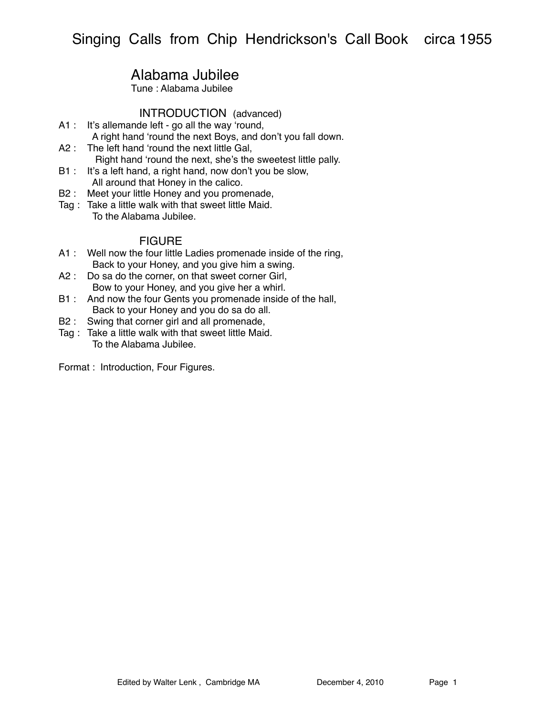# Alabama Jubilee

Tune : Alabama Jubilee

### INTRODUCTION (advanced)

- A1 : It's allemande left go all the way ʻround, A right hand ʻround the next Boys, and don't you fall down.
- A2 : The left hand ʻround the next little Gal, Right hand ʻround the next, she's the sweetest little pally.
- B1 : It's a left hand, a right hand, now don't you be slow, All around that Honey in the calico.
- B2 : Meet your little Honey and you promenade,
- Tag : Take a little walk with that sweet little Maid. To the Alabama Jubilee.

### **FIGURE**

- A1 : Well now the four little Ladies promenade inside of the ring, Back to your Honey, and you give him a swing.
- A2 : Do sa do the corner, on that sweet corner Girl, Bow to your Honey, and you give her a whirl.
- B1 : And now the four Gents you promenade inside of the hall, Back to your Honey and you do sa do all.
- B2 : Swing that corner girl and all promenade,
- Tag : Take a little walk with that sweet little Maid. To the Alabama Jubilee.

Format : Introduction, Four Figures.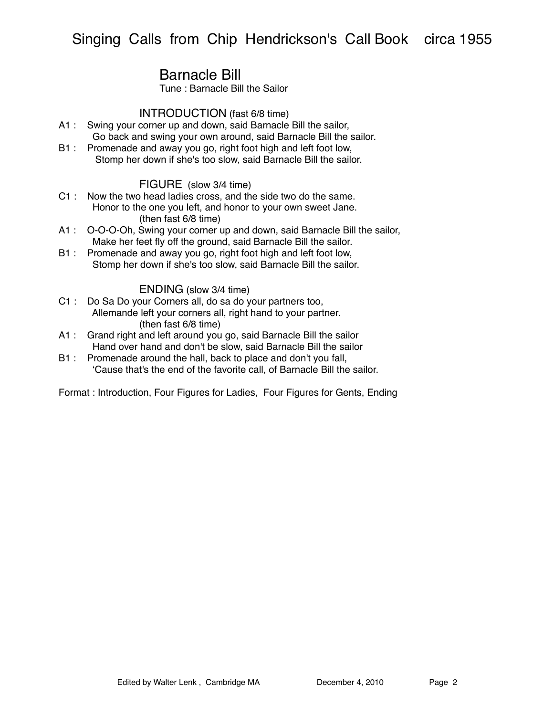# Barnacle Bill

Tune : Barnacle Bill the Sailor

### INTRODUCTION (fast 6/8 time)

- A1 : Swing your corner up and down, said Barnacle Bill the sailor, Go back and swing your own around, said Barnacle Bill the sailor.
- B1 : Promenade and away you go, right foot high and left foot low, Stomp her down if she's too slow, said Barnacle Bill the sailor.

#### FIGURE (slow 3/4 time)

- C1 : Now the two head ladies cross, and the side two do the same. Honor to the one you left, and honor to your own sweet Jane. (then fast 6/8 time)
- A1 : O-O-O-Oh, Swing your corner up and down, said Barnacle Bill the sailor, Make her feet fly off the ground, said Barnacle Bill the sailor.
- B1 : Promenade and away you go, right foot high and left foot low, Stomp her down if she's too slow, said Barnacle Bill the sailor.

#### ENDING (slow 3/4 time)

- C1 : Do Sa Do your Corners all, do sa do your partners too, Allemande left your corners all, right hand to your partner. (then fast 6/8 time)
- A1 : Grand right and left around you go, said Barnacle Bill the sailor Hand over hand and don't be slow, said Barnacle Bill the sailor
- B1 : Promenade around the hall, back to place and don't you fall, ʻCause that's the end of the favorite call, of Barnacle Bill the sailor.

Format : Introduction, Four Figures for Ladies, Four Figures for Gents, Ending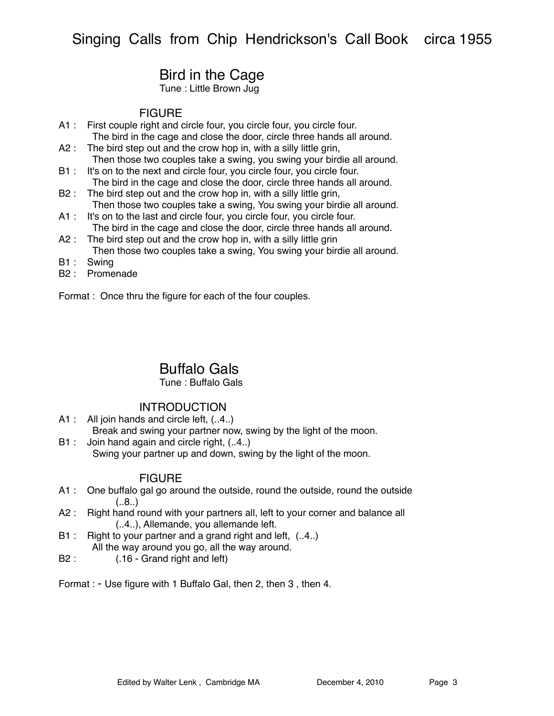# Bird in the Cage

Tune : Little Brown Jug

### **FIGURE**

- A1 : First couple right and circle four, you circle four, you circle four. The bird in the cage and close the door, circle three hands all around.
- A2 : The bird step out and the crow hop in, with a silly little grin, Then those two couples take a swing, you swing your birdie all around.
- B1 : It's on to the next and circle four, you circle four, you circle four. The bird in the cage and close the door, circle three hands all around.
- B2 : The bird step out and the crow hop in, with a silly little grin, Then those two couples take a swing, You swing your birdie all around.
- A1 : It's on to the last and circle four, you circle four, you circle four. The bird in the cage and close the door, circle three hands all around.
- A2 : The bird step out and the crow hop in, with a silly little grin Then those two couples take a swing, You swing your birdie all around.
- B1: Swing
- B2 : Promenade

Format : Once thru the figure for each of the four couples.

## Buffalo Gals

#### Tune : Buffalo Gals

### INTRODUCTION

- A1 : All join hands and circle left,  $(.4.)$
- Break and swing your partner now, swing by the light of the moon. B1 : Join hand again and circle right,  $(.4.)$

Swing your partner up and down, swing by the light of the moon.

- A1 : One buffalo gal go around the outside, round the outside, round the outside  $(.8.)$
- A2 : Right hand round with your partners all, left to your corner and balance all (..4..), Allemande, you allemande left.
- B1 : Right to your partner and a grand right and left,  $(.4.)$ All the way around you go, all the way around.
- B2 : (.16 Grand right and left)
- Format : Use figure with 1 Buffalo Gal, then 2, then 3 , then 4.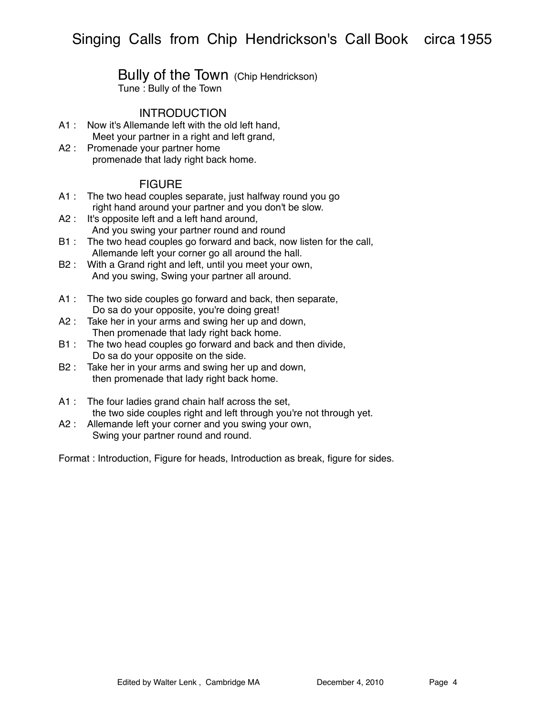### Bully of the Town (Chip Hendrickson) Tune : Bully of the Town

### **INTRODUCTION**

- A1 : Now it's Allemande left with the old left hand, Meet your partner in a right and left grand,
- A2 : Promenade your partner home promenade that lady right back home.

### **FIGURE**

- A1 : The two head couples separate, just halfway round you go right hand around your partner and you don't be slow.
- A2 : It's opposite left and a left hand around, And you swing your partner round and round
- B1 : The two head couples go forward and back, now listen for the call, Allemande left your corner go all around the hall.
- B2 : With a Grand right and left, until you meet your own, And you swing, Swing your partner all around.
- A1 : The two side couples go forward and back, then separate, Do sa do your opposite, you're doing great!
- A2 : Take her in your arms and swing her up and down, Then promenade that lady right back home.
- B1 : The two head couples go forward and back and then divide, Do sa do your opposite on the side.
- B2 : Take her in your arms and swing her up and down, then promenade that lady right back home.
- A1 : The four ladies grand chain half across the set, the two side couples right and left through you're not through yet.
- A2 : Allemande left your corner and you swing your own, Swing your partner round and round.

Format : Introduction, Figure for heads, Introduction as break, figure for sides.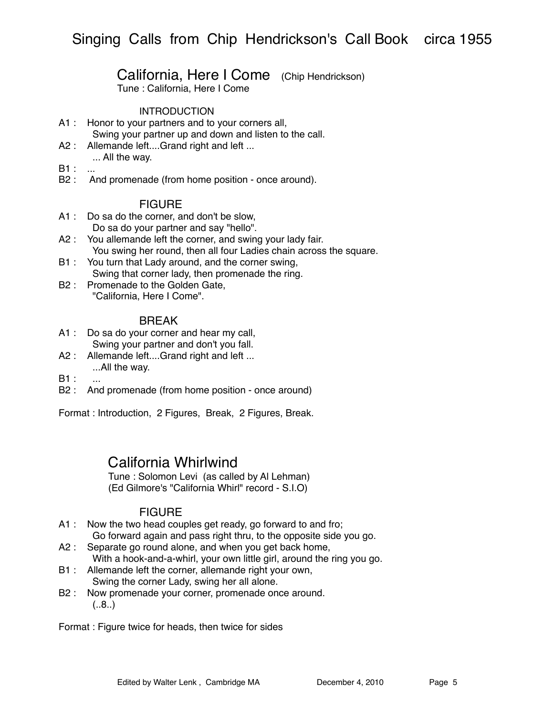## California, Here I Come (Chip Hendrickson)

Tune : California, Here I Come

#### INTRODUCTION

- A1 : Honor to your partners and to your corners all, Swing your partner up and down and listen to the call.
- A2 : Allemande left....Grand right and left ... ... All the way.
- B1 : ...
- 
- B2 : And promenade (from home position once around).

#### FIGURE

- A1 : Do sa do the corner, and don't be slow, Do sa do your partner and say "hello".
- A2 : You allemande left the corner, and swing your lady fair. You swing her round, then all four Ladies chain across the square.
- B1 : You turn that Lady around, and the corner swing,
	- Swing that corner lady, then promenade the ring.
- B2 : Promenade to the Golden Gate, "California, Here I Come".

### BREAK

- A1 : Do sa do your corner and hear my call, Swing your partner and don't you fall.
- A2 : Allemande left....Grand right and left ... ...All the way.
- $B1$  :
- B2 : And promenade (from home position once around)

Format : Introduction, 2 Figures, Break, 2 Figures, Break.

## California Whirlwind

Tune : Solomon Levi (as called by Al Lehman) (Ed Gilmore's "California Whirl" record - S.I.O)

### FIGURE

- A1 : Now the two head couples get ready, go forward to and fro; Go forward again and pass right thru, to the opposite side you go.
- A2 : Separate go round alone, and when you get back home, With a hook-and-a-whirl, your own little girl, around the ring you go.
- B1 : Allemande left the corner, allemande right your own, Swing the corner Lady, swing her all alone.
- B2 : Now promenade your corner, promenade once around.  $(.8.)$

Format : Figure twice for heads, then twice for sides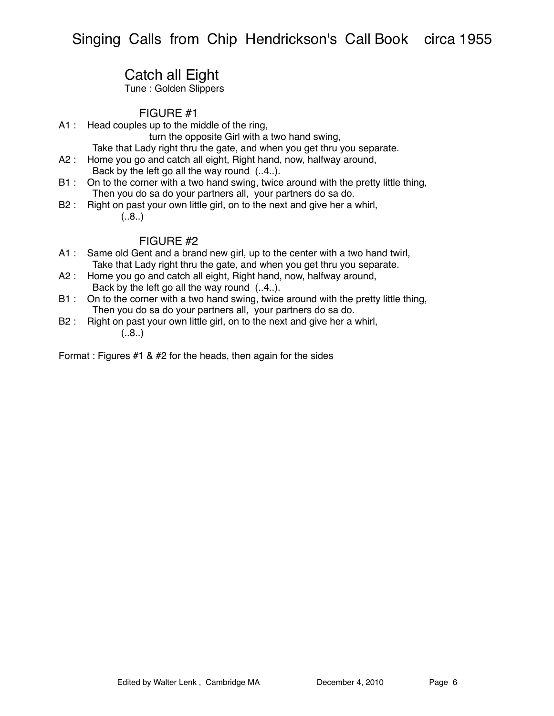# Catch all Eight

Tune : Golden Slippers

### FIGURE #1

A1 : Head couples up to the middle of the ring,

turn the opposite Girl with a two hand swing,

Take that Lady right thru the gate, and when you get thru you separate.

- A2 : Home you go and catch all eight, Right hand, now, halfway around, Back by the left go all the way round (..4..).
- B1 : On to the corner with a two hand swing, twice around with the pretty little thing, Then you do sa do your partners all, your partners do sa do.
- B2 : Right on past your own little girl, on to the next and give her a whirl,
	- $(.8.)$

## FIGURE #2

- A1 : Same old Gent and a brand new girl, up to the center with a two hand twirl, Take that Lady right thru the gate, and when you get thru you separate.
- A2 : Home you go and catch all eight, Right hand, now, halfway around, Back by the left go all the way round (..4..).
- B1 : On to the corner with a two hand swing, twice around with the pretty little thing, Then you do sa do your partners all, your partners do sa do.
- B2 : Right on past your own little girl, on to the next and give her a whirl,  $(.8.)$

Format : Figures #1 & #2 for the heads, then again for the sides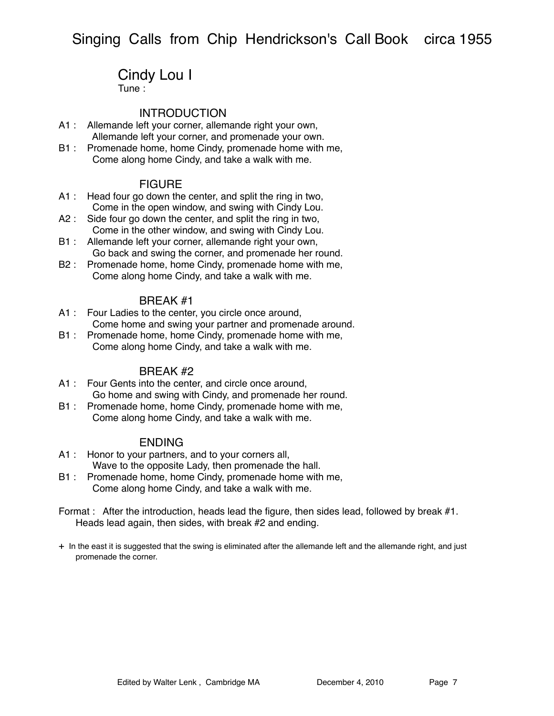# Cindy Lou I

Tune :

### **INTRODUCTION**

- A1 : Allemande left your corner, allemande right your own, Allemande left your corner, and promenade your own.
- B1 : Promenade home, home Cindy, promenade home with me, Come along home Cindy, and take a walk with me.

### FIGURE

- A1 : Head four go down the center, and split the ring in two, Come in the open window, and swing with Cindy Lou.
- A2 : Side four go down the center, and split the ring in two, Come in the other window, and swing with Cindy Lou.
- B1 : Allemande left your corner, allemande right your own, Go back and swing the corner, and promenade her round.
- B2 : Promenade home, home Cindy, promenade home with me, Come along home Cindy, and take a walk with me.

#### BREAK #1

- A1 : Four Ladies to the center, you circle once around, Come home and swing your partner and promenade around.
- B1 : Promenade home, home Cindy, promenade home with me, Come along home Cindy, and take a walk with me.

#### BREAK #2

- A1 : Four Gents into the center, and circle once around, Go home and swing with Cindy, and promenade her round.
- B1 : Promenade home, home Cindy, promenade home with me, Come along home Cindy, and take a walk with me.

### ENDING

- A1 : Honor to your partners, and to your corners all, Wave to the opposite Lady, then promenade the hall.
- B1 : Promenade home, home Cindy, promenade home with me, Come along home Cindy, and take a walk with me.
- Format : After the introduction, heads lead the figure, then sides lead, followed by break #1. Heads lead again, then sides, with break #2 and ending.
- + In the east it is suggested that the swing is eliminated after the allemande left and the allemande right, and just promenade the corner.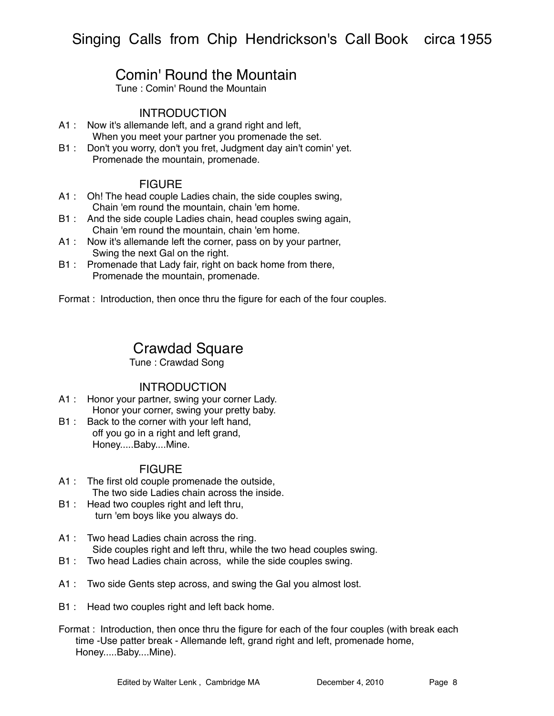# Comin' Round the Mountain

Tune : Comin' Round the Mountain

### **INTRODUCTION**

- A1 : Now it's allemande left, and a grand right and left, When you meet your partner you promenade the set.
- B1 : Don't you worry, don't you fret, Judgment day ain't comin' yet. Promenade the mountain, promenade.

### FIGURE

- A1 : Oh! The head couple Ladies chain, the side couples swing, Chain 'em round the mountain, chain 'em home.
- B1 : And the side couple Ladies chain, head couples swing again, Chain 'em round the mountain, chain 'em home.
- A1 : Now it's allemande left the corner, pass on by your partner, Swing the next Gal on the right.
- B1 : Promenade that Lady fair, right on back home from there, Promenade the mountain, promenade.

Format : Introduction, then once thru the figure for each of the four couples.

## Crawdad Square

Tune : Crawdad Song

### **INTRODUCTION**

- A1 : Honor your partner, swing your corner Lady. Honor your corner, swing your pretty baby.
- B1 : Back to the corner with your left hand, off you go in a right and left grand, Honey.....Baby....Mine.

- A1 : The first old couple promenade the outside, The two side Ladies chain across the inside.
- B1 : Head two couples right and left thru, turn 'em boys like you always do.
- A1 : Two head Ladies chain across the ring. Side couples right and left thru, while the two head couples swing.
- B1 : Two head Ladies chain across, while the side couples swing.
- A1 : Two side Gents step across, and swing the Gal you almost lost.
- B1 : Head two couples right and left back home.
- Format : Introduction, then once thru the figure for each of the four couples (with break each time -Use patter break - Allemande left, grand right and left, promenade home, Honey.....Baby....Mine).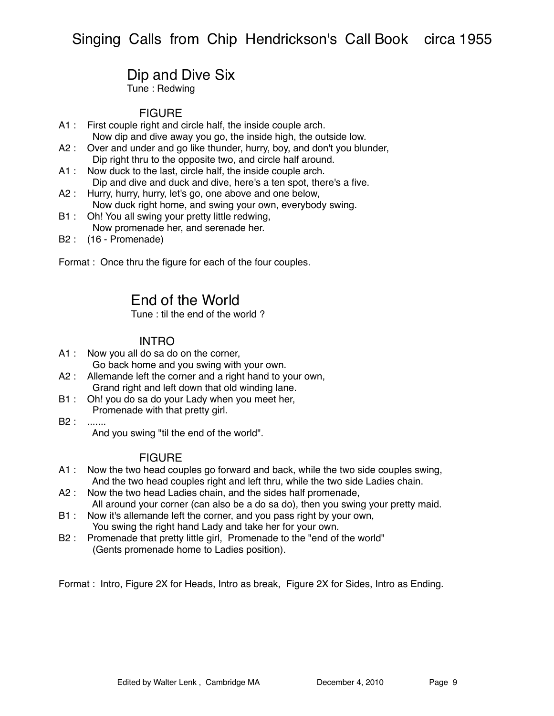# Dip and Dive Six

Tune : Redwing

## **FIGURE**

- A1 : First couple right and circle half, the inside couple arch. Now dip and dive away you go, the inside high, the outside low.
- A2 : Over and under and go like thunder, hurry, boy, and don't you blunder, Dip right thru to the opposite two, and circle half around.
- A1 : Now duck to the last, circle half, the inside couple arch. Dip and dive and duck and dive, here's a ten spot, there's a five.
- A2 : Hurry, hurry, hurry, let's go, one above and one below, Now duck right home, and swing your own, everybody swing.
- B1 : Oh! You all swing your pretty little redwing, Now promenade her, and serenade her.
- B2 : (16 Promenade)

Format : Once thru the figure for each of the four couples.

# End of the World

Tune : til the end of the world ?

### INTRO

- A1 : Now you all do sa do on the corner, Go back home and you swing with your own.
- A2 : Allemande left the corner and a right hand to your own, Grand right and left down that old winding lane.
- B1 : Oh! you do sa do your Lady when you meet her, Promenade with that pretty girl.
- B2 : .......

And you swing "til the end of the world".

### FIGURE

- A1 : Now the two head couples go forward and back, while the two side couples swing, And the two head couples right and left thru, while the two side Ladies chain.
- A2 : Now the two head Ladies chain, and the sides half promenade, All around your corner (can also be a do sa do), then you swing your pretty maid.
- B1 : Now it's allemande left the corner, and you pass right by your own, You swing the right hand Lady and take her for your own.
- B2 : Promenade that pretty little girl, Promenade to the "end of the world" (Gents promenade home to Ladies position).

Format : Intro, Figure 2X for Heads, Intro as break, Figure 2X for Sides, Intro as Ending.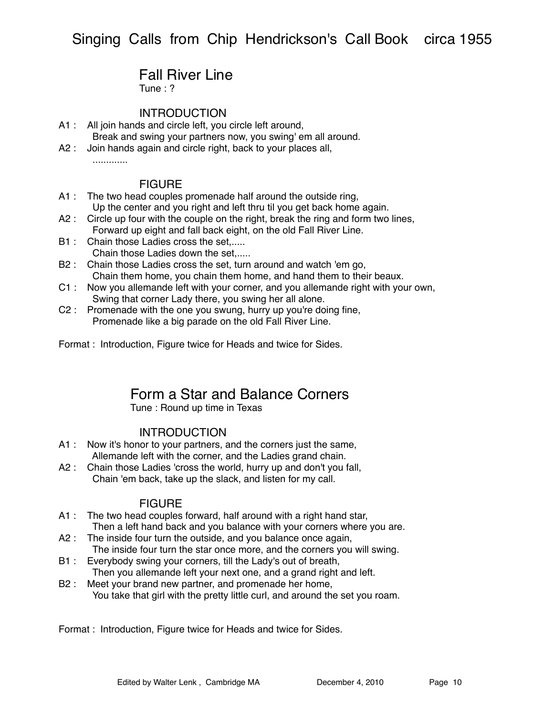# Fall River Line

Tune : ?

### **INTRODUCTION**

- A1 : All join hands and circle left, you circle left around, Break and swing your partners now, you swing' em all around.
- A2 : Join hands again and circle right, back to your places all, .............

### **FIGURE**

- A1 : The two head couples promenade half around the outside ring, Up the center and you right and left thru til you get back home again.
- A2 : Circle up four with the couple on the right, break the ring and form two lines, Forward up eight and fall back eight, on the old Fall River Line.
- B1 : Chain those Ladies cross the set...... Chain those Ladies down the set,.....
- B2 : Chain those Ladies cross the set, turn around and watch 'em go, Chain them home, you chain them home, and hand them to their beaux.
- C1 : Now you allemande left with your corner, and you allemande right with your own, Swing that corner Lady there, you swing her all alone.
- C2 : Promenade with the one you swung, hurry up you're doing fine, Promenade like a big parade on the old Fall River Line.

Format : Introduction, Figure twice for Heads and twice for Sides.

## Form a Star and Balance Corners

Tune : Round up time in Texas

### **INTRODUCTION**

- A1 : Now it's honor to your partners, and the corners just the same, Allemande left with the corner, and the Ladies grand chain.
- A2 : Chain those Ladies 'cross the world, hurry up and don't you fall, Chain 'em back, take up the slack, and listen for my call.

### **FIGURE**

- A1 : The two head couples forward, half around with a right hand star, Then a left hand back and you balance with your corners where you are.
- A2 : The inside four turn the outside, and you balance once again, The inside four turn the star once more, and the corners you will swing.
- B1 : Everybody swing your corners, till the Lady's out of breath, Then you allemande left your next one, and a grand right and left.
- B2 : Meet your brand new partner, and promenade her home, You take that girl with the pretty little curl, and around the set you roam.

Format : Introduction, Figure twice for Heads and twice for Sides.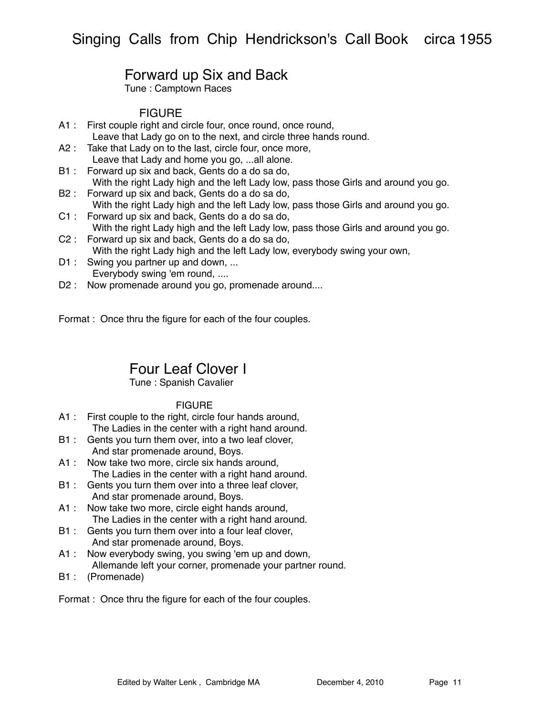# Forward up Six and Back

Tune : Camptown Races

### **FIGURE**

- A1 : First couple right and circle four, once round, once round, Leave that Lady go on to the next, and circle three hands round.
- A2 : Take that Lady on to the last, circle four, once more, Leave that Lady and home you go, ...all alone.
- B1 : Forward up six and back, Gents do a do sa do, With the right Lady high and the left Lady low, pass those Girls and around you go.
- B2 : Forward up six and back, Gents do a do sa do, With the right Lady high and the left Lady low, pass those Girls and around you go.
- C1 : Forward up six and back, Gents do a do sa do, With the right Lady high and the left Lady low, pass those Girls and around you go.
- C2 : Forward up six and back, Gents do a do sa do, With the right Lady high and the left Lady low, everybody swing your own,
- D1 : Swing you partner up and down, ... Everybody swing 'em round, ....
- D2 : Now promenade around you go, promenade around....

Format : Once thru the figure for each of the four couples.

# Four Leaf Clover I

### Tune : Spanish Cavalier

### **FIGURE**

- A1 : First couple to the right, circle four hands around, The Ladies in the center with a right hand around.
- B1 : Gents you turn them over, into a two leaf clover, And star promenade around, Boys.
- A1 : Now take two more, circle six hands around, The Ladies in the center with a right hand around.
- B1 : Gents you turn them over into a three leaf clover, And star promenade around, Boys.
- A1 : Now take two more, circle eight hands around, The Ladies in the center with a right hand around.
- B1 : Gents you turn them over into a four leaf clover, And star promenade around, Boys.
- A1 : Now everybody swing, you swing 'em up and down, Allemande left your corner, promenade your partner round.
- B1 : (Promenade)

Format : Once thru the figure for each of the four couples.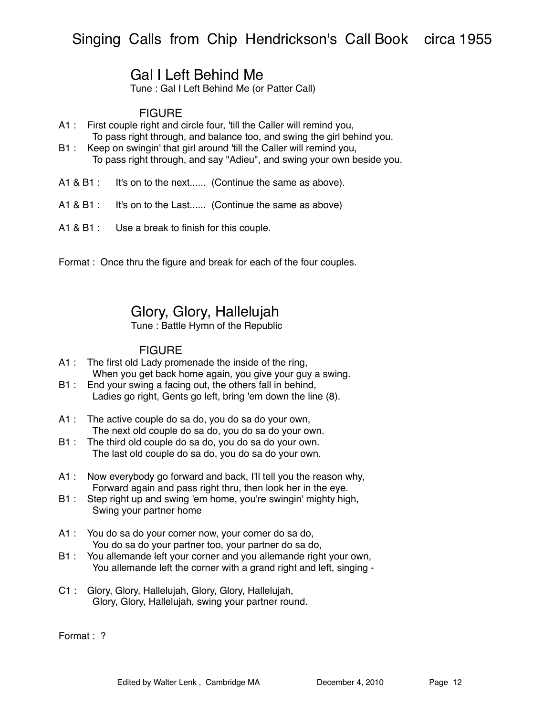# Gal I Left Behind Me

Tune : Gal I Left Behind Me (or Patter Call)

### FIGURE

- A1 : First couple right and circle four, 'till the Caller will remind you, To pass right through, and balance too, and swing the girl behind you.
- B1 : Keep on swingin' that girl around 'till the Caller will remind you, To pass right through, and say "Adieu", and swing your own beside you.
- A1 & B1 : It's on to the next...... (Continue the same as above).
- A1 & B1 : It's on to the Last...... (Continue the same as above)
- A1 & B1 : Use a break to finish for this couple.

Format : Once thru the figure and break for each of the four couples.

# Glory, Glory, Hallelujah

Tune : Battle Hymn of the Republic

### **FIGURE**

- A1 : The first old Lady promenade the inside of the ring, When you get back home again, you give your guy a swing.
- B1 : End your swing a facing out, the others fall in behind, Ladies go right, Gents go left, bring 'em down the line (8).
- A1 : The active couple do sa do, you do sa do your own, The next old couple do sa do, you do sa do your own.
- B1 : The third old couple do sa do, you do sa do your own. The last old couple do sa do, you do sa do your own.
- A1 : Now everybody go forward and back, I'll tell you the reason why, Forward again and pass right thru, then look her in the eye.
- B1 : Step right up and swing 'em home, you're swingin' mighty high, Swing your partner home
- A1 : You do sa do your corner now, your corner do sa do, You do sa do your partner too, your partner do sa do,
- B1 : You allemande left your corner and you allemande right your own, You allemande left the corner with a grand right and left, singing -
- C1 : Glory, Glory, Hallelujah, Glory, Glory, Hallelujah, Glory, Glory, Hallelujah, swing your partner round.

Format : ?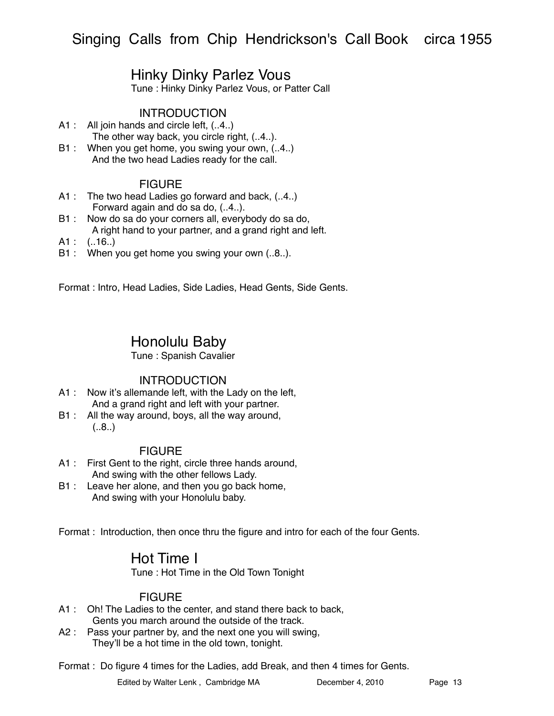# Hinky Dinky Parlez Vous

Tune : Hinky Dinky Parlez Vous, or Patter Call

### **INTRODUCTION**

- A1 : All join hands and circle left,  $(.4.)$ The other way back, you circle right, (..4..).
- B1 : When you get home, you swing your own, (..4.) And the two head Ladies ready for the call.

### FIGURE

- A1 : The two head Ladies go forward and back, (..4..) Forward again and do sa do, (..4..).
- B1 : Now do sa do your corners all, everybody do sa do, A right hand to your partner, and a grand right and left.
- $A1$  :  $(.16.)$
- B1 : When you get home you swing your own (..8..).

Format : Intro, Head Ladies, Side Ladies, Head Gents, Side Gents.

# Honolulu Baby

#### Tune : Spanish Cavalier

### **INTRODUCTION**

- A1 : Now it's allemande left, with the Lady on the left, And a grand right and left with your partner.
- B1 : All the way around, boys, all the way around,  $(.8.)$

### **FIGURE**

- A1 : First Gent to the right, circle three hands around, And swing with the other fellows Lady.
- B1 : Leave her alone, and then you go back home, And swing with your Honolulu baby.

Format : Introduction, then once thru the figure and intro for each of the four Gents.

# Hot Time I

Tune : Hot Time in the Old Town Tonight

### **FIGURE**

- A1 : Oh! The Ladies to the center, and stand there back to back, Gents you march around the outside of the track.
- A2 : Pass your partner by, and the next one you will swing, They'll be a hot time in the old town, tonight.

Format : Do figure 4 times for the Ladies, add Break, and then 4 times for Gents.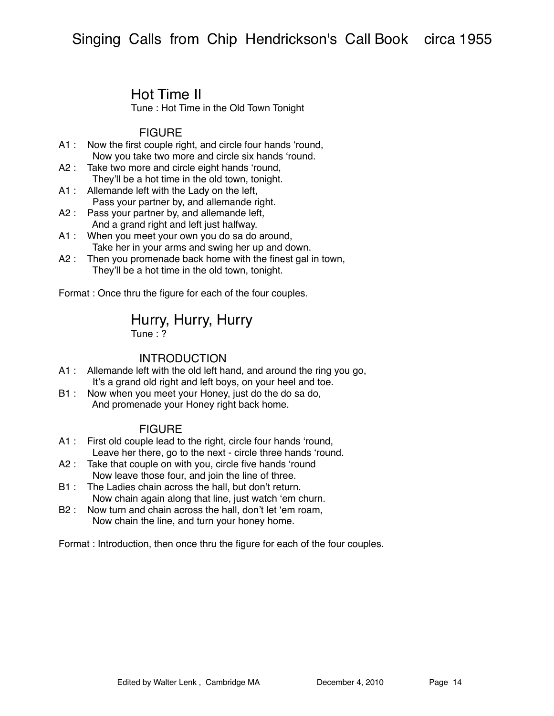# Hot Time II

Tune : Hot Time in the Old Town Tonight

### FIGURE

- A1 : Now the first couple right, and circle four hands ʻround, Now you take two more and circle six hands ʻround.
- A2 : Take two more and circle eight hands 'round, They'll be a hot time in the old town, tonight.
- A1 : Allemande left with the Lady on the left, Pass your partner by, and allemande right.
- A2 : Pass your partner by, and allemande left, And a grand right and left just halfway.
- A1 : When you meet your own you do sa do around, Take her in your arms and swing her up and down.
- A2 : Then you promenade back home with the finest gal in town, They'll be a hot time in the old town, tonight.

Format : Once thru the figure for each of the four couples.

## Hurry, Hurry, Hurry

Tune : ?

### INTRODUCTION

- A1 : Allemande left with the old left hand, and around the ring you go, It's a grand old right and left boys, on your heel and toe.
- B1 : Now when you meet your Honey, just do the do sa do, And promenade your Honey right back home.

### **FIGURE**

- A1 : First old couple lead to the right, circle four hands ʻround, Leave her there, go to the next - circle three hands ʻround.
- A2 : Take that couple on with you, circle five hands 'round Now leave those four, and join the line of three.
- B1 : The Ladies chain across the hall, but don't return. Now chain again along that line, just watch ʻem churn.
- B2 : Now turn and chain across the hall, don't let ʻem roam, Now chain the line, and turn your honey home.

Format : Introduction, then once thru the figure for each of the four couples.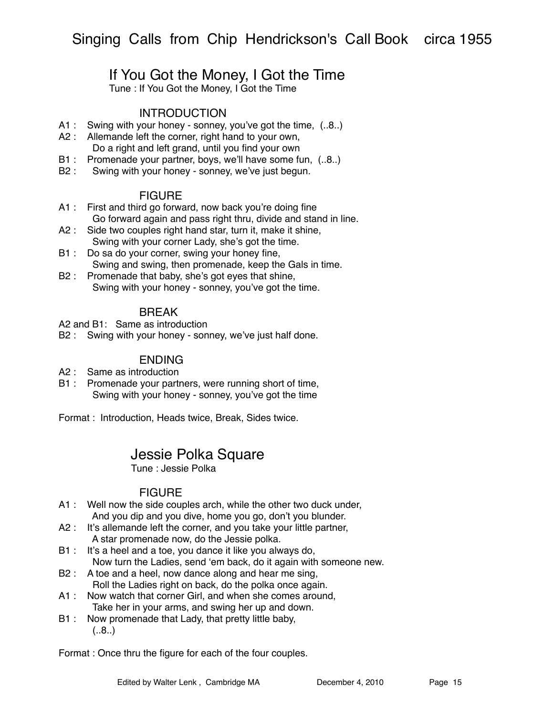# If You Got the Money, I Got the Time

Tune : If You Got the Money, I Got the Time

### **INTRODUCTION**

- A1 : Swing with your honey sonney, you've got the time, (..8..)
- A2 : Allemande left the corner, right hand to your own, Do a right and left grand, until you find your own
- B1 : Promenade your partner, boys, we'll have some fun, (..8..)
- B2 : Swing with your honey sonney, we've just begun.

#### **FIGURE**

- A1 : First and third go forward, now back you're doing fine Go forward again and pass right thru, divide and stand in line.
- A2 : Side two couples right hand star, turn it, make it shine, Swing with your corner Lady, she's got the time.
- B1 : Do sa do your corner, swing your honey fine, Swing and swing, then promenade, keep the Gals in time.
- B2 : Promenade that baby, she's got eyes that shine, Swing with your honey - sonney, you've got the time.

### **BRFAK**

A2 and B1: Same as introduction

B2 : Swing with your honey - sonney, we've just half done.

### ENDING

- A2 : Same as introduction
- B1 : Promenade your partners, were running short of time, Swing with your honey - sonney, you've got the time

Format : Introduction, Heads twice, Break, Sides twice.

## Jessie Polka Square

Tune : Jessie Polka

### **FIGURE**

- A1 : Well now the side couples arch, while the other two duck under, And you dip and you dive, home you go, don't you blunder.
- A2 : It's allemande left the corner, and you take your little partner, A star promenade now, do the Jessie polka.
- B1 : It's a heel and a toe, you dance it like you always do, Now turn the Ladies, send ʻem back, do it again with someone new.
- B2 : A toe and a heel, now dance along and hear me sing, Roll the Ladies right on back, do the polka once again.
- A1 : Now watch that corner Girl, and when she comes around, Take her in your arms, and swing her up and down.
- B1 : Now promenade that Lady, that pretty little baby,  $(.8.)$

Format : Once thru the figure for each of the four couples.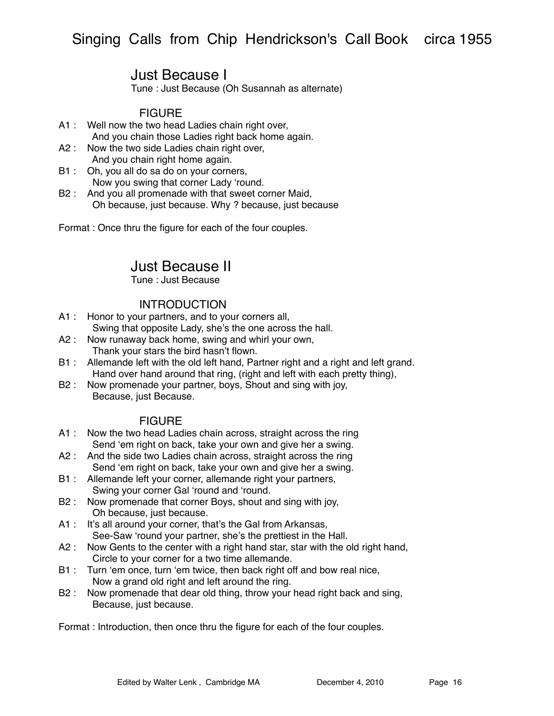# Just Because I

Tune : Just Because (Oh Susannah as alternate)

## **FIGURE**

- A1 : Well now the two head Ladies chain right over, And you chain those Ladies right back home again.
- A2 : Now the two side Ladies chain right over, And you chain right home again.
- B1 : Oh, you all do sa do on your corners, Now you swing that corner Lady ʻround.
- B2 : And you all promenade with that sweet corner Maid, Oh because, just because. Why ? because, just because

Format : Once thru the figure for each of the four couples.

# Just Because II

Tune : Just Because

### INTRODUCTION

- A1 : Honor to your partners, and to your corners all, Swing that opposite Lady, she's the one across the hall.
- A2 : Now runaway back home, swing and whirl your own, Thank your stars the bird hasn't flown.
- B1 : Allemande left with the old left hand, Partner right and a right and left grand. Hand over hand around that ring, (right and left with each pretty thing),
- B2 : Now promenade your partner, boys, Shout and sing with joy, Because, just Because.

### **FIGURE**

- A1 : Now the two head Ladies chain across, straight across the ring Send ʻem right on back, take your own and give her a swing.
- A2 : And the side two Ladies chain across, straight across the ring Send ʻem right on back, take your own and give her a swing.
- B1 : Allemande left your corner, allemande right your partners, Swing your corner Gal ʻround and ʻround.
- B2 : Now promenade that corner Boys, shout and sing with joy, Oh because, just because.
- A1 : It's all around your corner, that's the Gal from Arkansas, See-Saw ʻround your partner, she's the prettiest in the Hall.
- A2 : Now Gents to the center with a right hand star, star with the old right hand, Circle to your corner for a two time allemande.
- B1 : Turn ʻem once, turn ʻem twice, then back right off and bow real nice, Now a grand old right and left around the ring.
- B2 : Now promenade that dear old thing, throw your head right back and sing, Because, just because.

Format : Introduction, then once thru the figure for each of the four couples.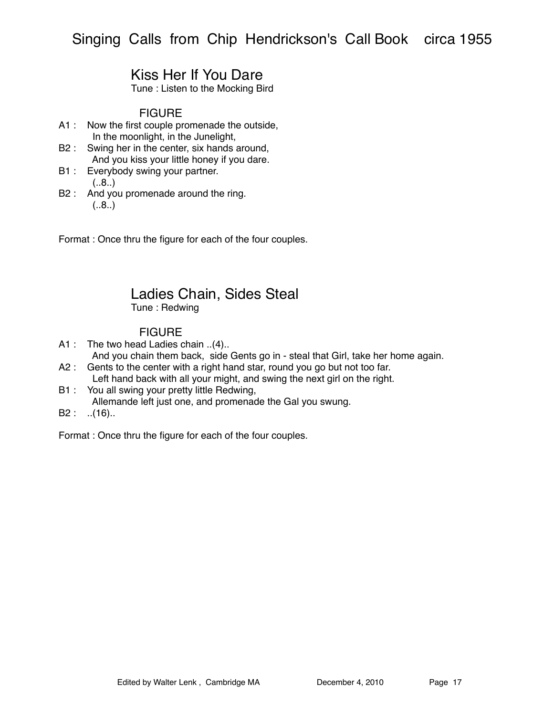# Kiss Her If You Dare

Tune : Listen to the Mocking Bird

### **FIGURE**

- A1 : Now the first couple promenade the outside, In the moonlight, in the Junelight,
- B2 : Swing her in the center, six hands around, And you kiss your little honey if you dare.
- B1 : Everybody swing your partner.  $(.8.)$
- B2 : And you promenade around the ring.  $(.8.)$

Format : Once thru the figure for each of the four couples.

## Ladies Chain, Sides Steal Tune : Redwing

### FIGURE

- A1 : The two head Ladies chain ..(4)..
- And you chain them back, side Gents go in steal that Girl, take her home again. A2 : Gents to the center with a right hand star, round you go but not too far.
- Left hand back with all your might, and swing the next girl on the right.
- B1 : You all swing your pretty little Redwing,
- Allemande left just one, and promenade the Gal you swung.
- $B2:$  ..(16)..

Format : Once thru the figure for each of the four couples.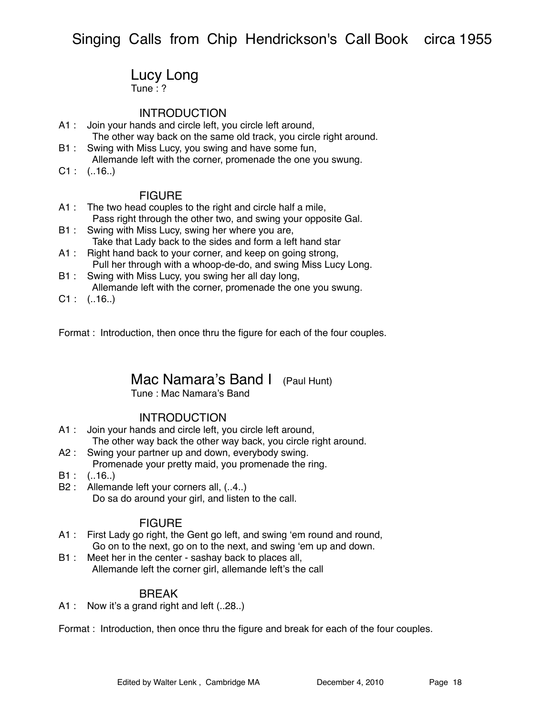## Lucy Long

Tune : ?

### **INTRODUCTION**

- A1 : Join your hands and circle left, you circle left around, The other way back on the same old track, you circle right around.
- B1 : Swing with Miss Lucy, you swing and have some fun, Allemande left with the corner, promenade the one you swung.
- $C1$  :  $(.16.)$

#### **FIGURE**

- A1 : The two head couples to the right and circle half a mile, Pass right through the other two, and swing your opposite Gal.
- B1 : Swing with Miss Lucy, swing her where you are, Take that Lady back to the sides and form a left hand star
- A1 : Right hand back to your corner, and keep on going strong, Pull her through with a whoop-de-do, and swing Miss Lucy Long.
- B1 : Swing with Miss Lucy, you swing her all day long, Allemande left with the corner, promenade the one you swung.
- $C1$  :  $(.16.)$

Format : Introduction, then once thru the figure for each of the four couples.

## Mac Namara's Band I (Paul Hunt)

Tune : Mac Namara's Band

### INTRODUCTION

- A1 : Join your hands and circle left, you circle left around, The other way back the other way back, you circle right around.
- A2 : Swing your partner up and down, everybody swing. Promenade your pretty maid, you promenade the ring.
- $B1: (.16.)$
- B2 : Allemande left your corners all,  $(.4.)$ Do sa do around your girl, and listen to the call.

### **FIGURE**

- A1 : First Lady go right, the Gent go left, and swing ʻem round and round, Go on to the next, go on to the next, and swing ʻem up and down.
- B1 : Meet her in the center sashay back to places all, Allemande left the corner girl, allemande left's the call

### BREAK

A1 : Now it's a grand right and left (..28..)

Format : Introduction, then once thru the figure and break for each of the four couples.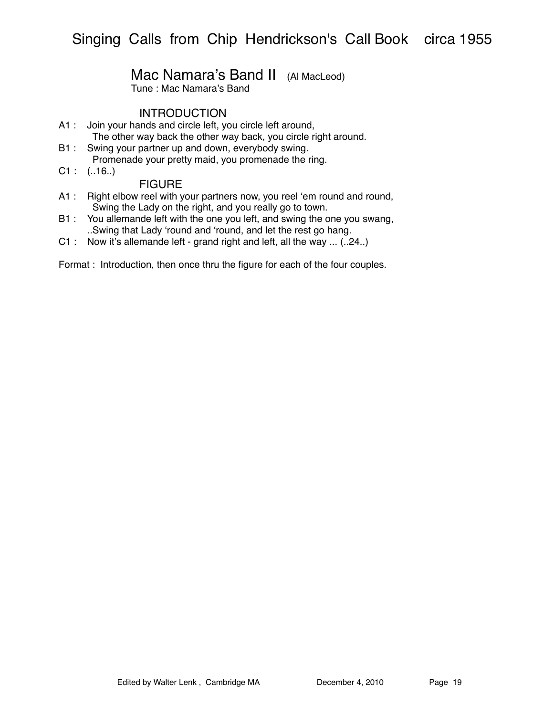## Mac Namara's Band II (Al MacLeod)

Tune : Mac Namara's Band

### INTRODUCTION

- A1 : Join your hands and circle left, you circle left around, The other way back the other way back, you circle right around.
- B1 : Swing your partner up and down, everybody swing. Promenade your pretty maid, you promenade the ring.
- $C1$  :  $(.16.)$

### **FIGURE**

- A1 : Right elbow reel with your partners now, you reel ʻem round and round, Swing the Lady on the right, and you really go to town.
- B1 : You allemande left with the one you left, and swing the one you swang, ..Swing that Lady ʻround and ʻround, and let the rest go hang.
- C1 : Now it's allemande left grand right and left, all the way ... (..24..)

Format : Introduction, then once thru the figure for each of the four couples.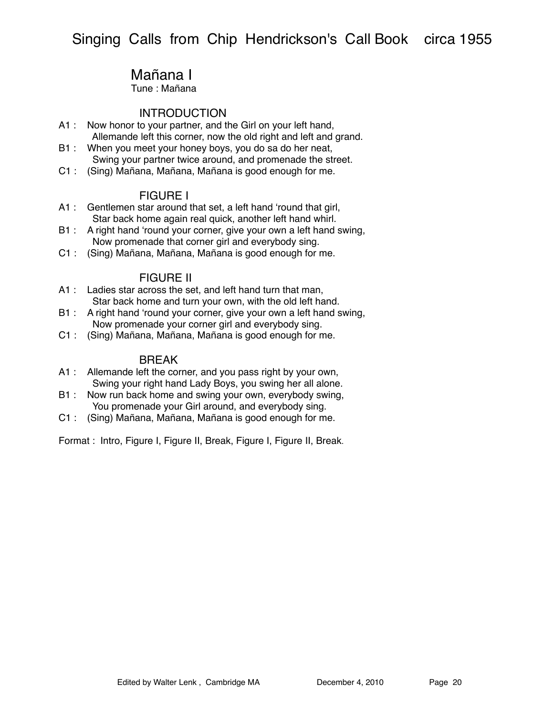# Mañana I

Tune : Mañana

### **INTRODUCTION**

- A1 : Now honor to your partner, and the Girl on your left hand, Allemande left this corner, now the old right and left and grand.
- B1 : When you meet your honey boys, you do sa do her neat, Swing your partner twice around, and promenade the street.
- C1 : (Sing) Mañana, Mañana, Mañana is good enough for me.

### FIGURE I

- A1 : Gentlemen star around that set, a left hand ʻround that girl, Star back home again real quick, another left hand whirl.
- B1 : A right hand 'round your corner, give your own a left hand swing, Now promenade that corner girl and everybody sing.
- C1 : (Sing) Mañana, Mañana, Mañana is good enough for me.

### FIGURE II

- A1 : Ladies star across the set, and left hand turn that man, Star back home and turn your own, with the old left hand.
- B1 : A right hand 'round your corner, give your own a left hand swing, Now promenade your corner girl and everybody sing.
- C1 : (Sing) Mañana, Mañana, Mañana is good enough for me.

#### BREAK

- A1 : Allemande left the corner, and you pass right by your own, Swing your right hand Lady Boys, you swing her all alone.
- B1 : Now run back home and swing your own, everybody swing, You promenade your Girl around, and everybody sing.
- C1 : (Sing) Mañana, Mañana, Mañana is good enough for me.

Format : Intro, Figure I, Figure II, Break, Figure I, Figure II, Break.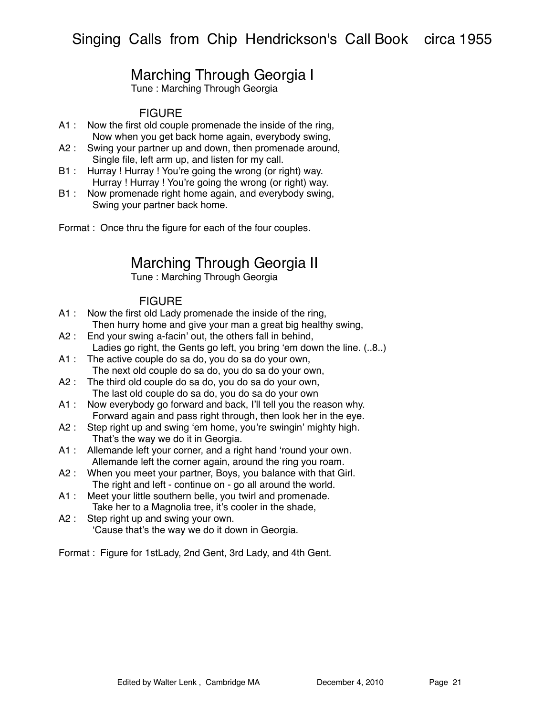# Marching Through Georgia I

Tune : Marching Through Georgia

## **FIGURE**

- A1 : Now the first old couple promenade the inside of the ring, Now when you get back home again, everybody swing,
- A2 : Swing your partner up and down, then promenade around, Single file, left arm up, and listen for my call.
- B1 : Hurray ! Hurray ! You're going the wrong (or right) way. Hurray ! Hurray ! You're going the wrong (or right) way.
- B1 : Now promenade right home again, and everybody swing, Swing your partner back home.

Format : Once thru the figure for each of the four couples.

# Marching Through Georgia II

Tune : Marching Through Georgia

## **FIGURE**

- A1 : Now the first old Lady promenade the inside of the ring, Then hurry home and give your man a great big healthy swing,
- A2 : End your swing a-facin' out, the others fall in behind, Ladies go right, the Gents go left, you bring ʻem down the line. (..8..)
- A1 : The active couple do sa do, you do sa do your own, The next old couple do sa do, you do sa do your own,
- A2 : The third old couple do sa do, you do sa do your own, The last old couple do sa do, you do sa do your own
- A1 : Now everybody go forward and back, I'll tell you the reason why. Forward again and pass right through, then look her in the eye.
- A2 : Step right up and swing 'em home, you're swingin' mighty high. That's the way we do it in Georgia.
- A1 : Allemande left your corner, and a right hand ʻround your own. Allemande left the corner again, around the ring you roam.
- A2 : When you meet your partner, Boys, you balance with that Girl. The right and left - continue on - go all around the world.
- A1 : Meet your little southern belle, you twirl and promenade. Take her to a Magnolia tree, it's cooler in the shade,
- A2 : Step right up and swing your own. ʻCause that's the way we do it down in Georgia.

Format : Figure for 1stLady, 2nd Gent, 3rd Lady, and 4th Gent.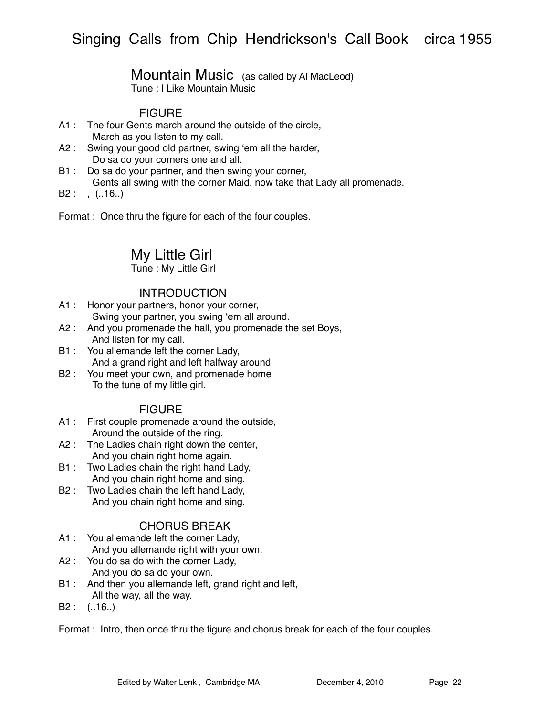# Mountain Music (as called by Al MacLeod)

Tune : I Like Mountain Music

## FIGURE

- A1 : The four Gents march around the outside of the circle, March as you listen to my call.
- A2 : Swing your good old partner, swing ʻem all the harder, Do sa do your corners one and all.
- B1 : Do sa do your partner, and then swing your corner, Gents all swing with the corner Maid, now take that Lady all promenade.
- $B2: , (.16.)$

Format : Once thru the figure for each of the four couples.

# My Little Girl

Tune : My Little Girl

### **INTRODUCTION**

- A1 : Honor your partners, honor your corner, Swing your partner, you swing ʻem all around.
- A2 : And you promenade the hall, you promenade the set Boys, And listen for my call.
- B1 : You allemande left the corner Lady, And a grand right and left halfway around
- B2 : You meet your own, and promenade home To the tune of my little girl.

### FIGURE

- A1 : First couple promenade around the outside, Around the outside of the ring.
- A2 : The Ladies chain right down the center, And you chain right home again.
- B1 : Two Ladies chain the right hand Lady, And you chain right home and sing.
- B2 : Two Ladies chain the left hand Lady, And you chain right home and sing.

### CHORUS BREAK

- A1 : You allemande left the corner Lady, And you allemande right with your own.
- A2 : You do sa do with the corner Lady, And you do sa do your own.
- B1 : And then you allemande left, grand right and left, All the way, all the way.
- B2 : (..16..)

Format : Intro, then once thru the figure and chorus break for each of the four couples.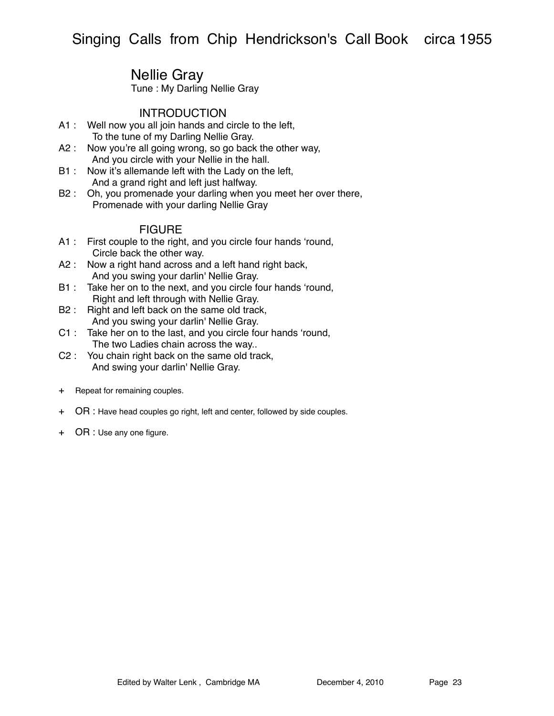# Nellie Gray

Tune : My Darling Nellie Gray

### **INTRODUCTION**

- A1 : Well now you all join hands and circle to the left, To the tune of my Darling Nellie Gray.
- A2 : Now you're all going wrong, so go back the other way, And you circle with your Nellie in the hall.
- B1 : Now it's allemande left with the Lady on the left, And a grand right and left just halfway.
- B2 : Oh, you promenade your darling when you meet her over there, Promenade with your darling Nellie Gray

- A1 : First couple to the right, and you circle four hands ʻround, Circle back the other way.
- A2 : Now a right hand across and a left hand right back, And you swing your darlin' Nellie Gray.
- B1 : Take her on to the next, and you circle four hands ʻround, Right and left through with Nellie Gray.
- B2 : Right and left back on the same old track, And you swing your darlin' Nellie Gray.
- C1 : Take her on to the last, and you circle four hands ʻround, The two Ladies chain across the way..
- C2 : You chain right back on the same old track, And swing your darlin' Nellie Gray.
- + Repeat for remaining couples.
- + OR : Have head couples go right, left and center, followed by side couples.
- + OR : Use any one figure.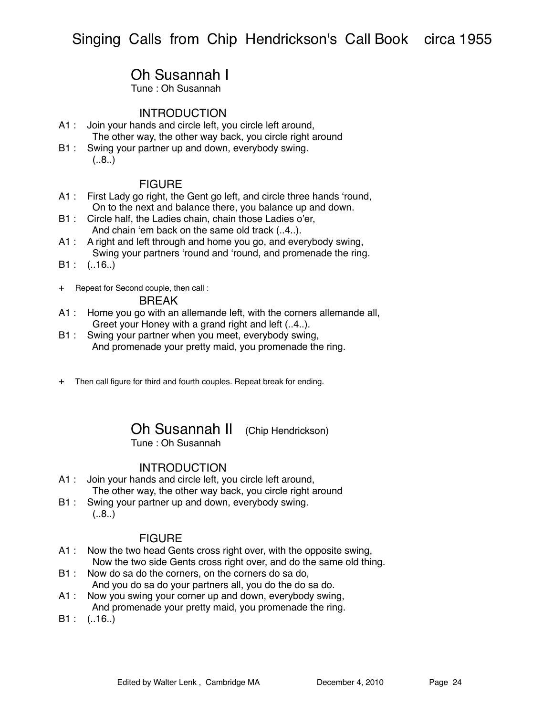# Oh Susannah I

Tune : Oh Susannah

### **INTRODUCTION**

- A1 : Join your hands and circle left, you circle left around, The other way, the other way back, you circle right around
- B1 : Swing your partner up and down, everybody swing.  $(.8.)$

### **FIGURE**

- A1 : First Lady go right, the Gent go left, and circle three hands ʻround, On to the next and balance there, you balance up and down.
- B1 : Circle half, the Ladies chain, chain those Ladies o'er, And chain ʻem back on the same old track (..4..).
- A1 : A right and left through and home you go, and everybody swing, Swing your partners ʻround and ʻround, and promenade the ring.
- $B1: (.16.)$
- + Repeat for Second couple, then call :

### BREAK

- A1 : Home you go with an allemande left, with the corners allemande all, Greet your Honey with a grand right and left (..4..).
- B1 : Swing your partner when you meet, everybody swing, And promenade your pretty maid, you promenade the ring.
- + Then call figure for third and fourth couples. Repeat break for ending.

# Oh Susannah II (Chip Hendrickson)

Tune : Oh Susannah

### **INTRODUCTION**

- A1 : Join your hands and circle left, you circle left around, The other way, the other way back, you circle right around
- B1 : Swing your partner up and down, everybody swing.  $(.8.)$

- A1 : Now the two head Gents cross right over, with the opposite swing, Now the two side Gents cross right over, and do the same old thing.
- B1 : Now do sa do the corners, on the corners do sa do, And you do sa do your partners all, you do the do sa do.
- A1 : Now you swing your corner up and down, everybody swing, And promenade your pretty maid, you promenade the ring.
- B1 : (..16..)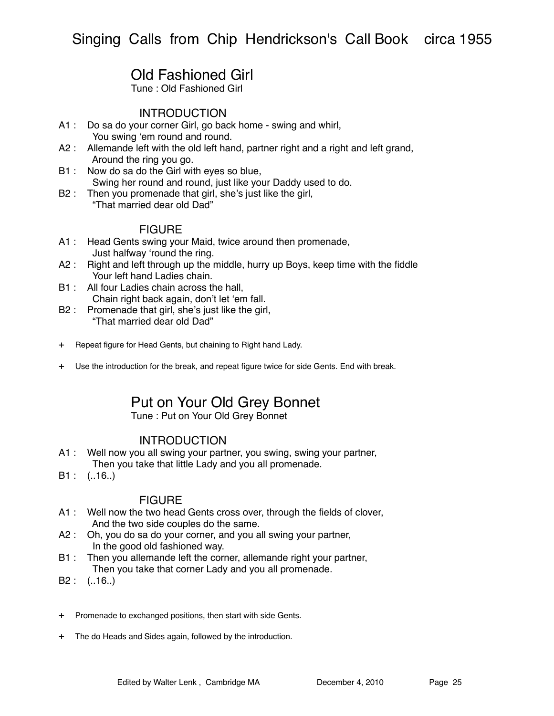# Old Fashioned Girl

Tune : Old Fashioned Girl

### **INTRODUCTION**

- A1 : Do sa do your corner Girl, go back home swing and whirl, You swing ʻem round and round.
- A2 : Allemande left with the old left hand, partner right and a right and left grand, Around the ring you go.
- B1 : Now do sa do the Girl with eyes so blue, Swing her round and round, just like your Daddy used to do.
- B2 : Then you promenade that girl, she's just like the girl, "That married dear old Dad"

### FIGURE

- A1 : Head Gents swing your Maid, twice around then promenade, Just halfway ʻround the ring.
- A2 : Right and left through up the middle, hurry up Boys, keep time with the fiddle Your left hand Ladies chain.
- B1 : All four Ladies chain across the hall, Chain right back again, don't let ʻem fall.
- B2 : Promenade that girl, she's just like the girl, "That married dear old Dad"
- + Repeat figure for Head Gents, but chaining to Right hand Lady.
- + Use the introduction for the break, and repeat figure twice for side Gents. End with break.

# Put on Your Old Grey Bonnet

Tune : Put on Your Old Grey Bonnet

### **INTRODUCTION**

- A1 : Well now you all swing your partner, you swing, swing your partner, Then you take that little Lady and you all promenade.
- B1 : (..16..)

- A1 : Well now the two head Gents cross over, through the fields of clover, And the two side couples do the same.
- A2 : Oh, you do sa do your corner, and you all swing your partner, In the good old fashioned way.
- B1 : Then you allemande left the corner, allemande right your partner, Then you take that corner Lady and you all promenade.
- B2 : (..16..)
- + Promenade to exchanged positions, then start with side Gents.
- + The do Heads and Sides again, followed by the introduction.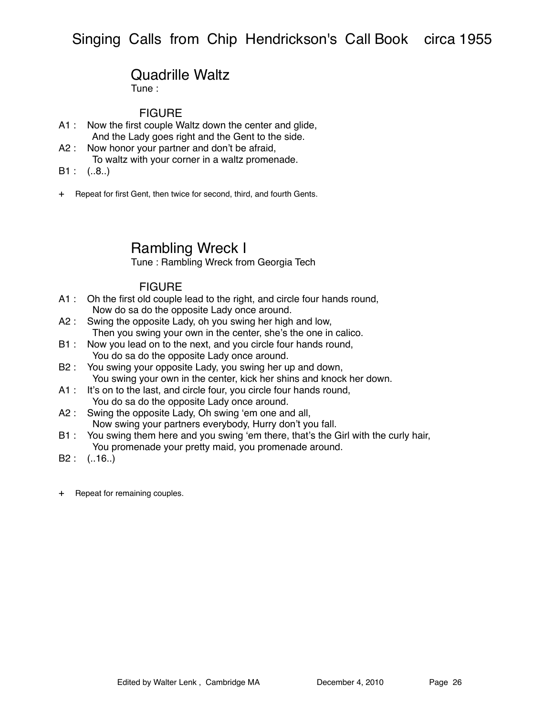# Quadrille Waltz

Tune :

### **FIGURE**

- A1 : Now the first couple Waltz down the center and glide, And the Lady goes right and the Gent to the side.
- A2 : Now honor your partner and don't be afraid, To waltz with your corner in a waltz promenade.
- $B1: (.8.)$
- + Repeat for first Gent, then twice for second, third, and fourth Gents.

# Rambling Wreck I

Tune : Rambling Wreck from Georgia Tech

- A1 : Oh the first old couple lead to the right, and circle four hands round, Now do sa do the opposite Lady once around.
- A2 : Swing the opposite Lady, oh you swing her high and low, Then you swing your own in the center, she's the one in calico.
- B1 : Now you lead on to the next, and you circle four hands round, You do sa do the opposite Lady once around.
- B2 : You swing your opposite Lady, you swing her up and down, You swing your own in the center, kick her shins and knock her down.
- A1 : It's on to the last, and circle four, you circle four hands round, You do sa do the opposite Lady once around.
- A2 : Swing the opposite Lady, Oh swing ʻem one and all, Now swing your partners everybody, Hurry don't you fall.
- B1 : You swing them here and you swing 'em there, that's the Girl with the curly hair, You promenade your pretty maid, you promenade around.
- B2 : (..16..)
- + Repeat for remaining couples.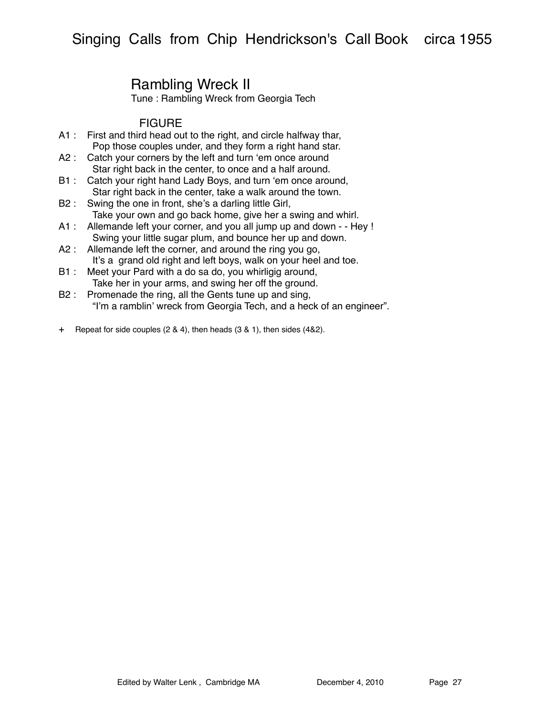# Rambling Wreck II

Tune : Rambling Wreck from Georgia Tech

- A1 : First and third head out to the right, and circle halfway thar, Pop those couples under, and they form a right hand star.
- A2 : Catch your corners by the left and turn 'em once around Star right back in the center, to once and a half around.
- B1 : Catch your right hand Lady Boys, and turn ʻem once around, Star right back in the center, take a walk around the town.
- B2 : Swing the one in front, she's a darling little Girl, Take your own and go back home, give her a swing and whirl.
- A1 : Allemande left your corner, and you all jump up and down - Hey ! Swing your little sugar plum, and bounce her up and down.
- A2 : Allemande left the corner, and around the ring you go, It's a grand old right and left boys, walk on your heel and toe.
- B1 : Meet your Pard with a do sa do, you whirligig around, Take her in your arms, and swing her off the ground.
- B2 : Promenade the ring, all the Gents tune up and sing, "I'm a ramblin' wreck from Georgia Tech, and a heck of an engineer".
- + Repeat for side couples (2 & 4), then heads (3 & 1), then sides (4&2).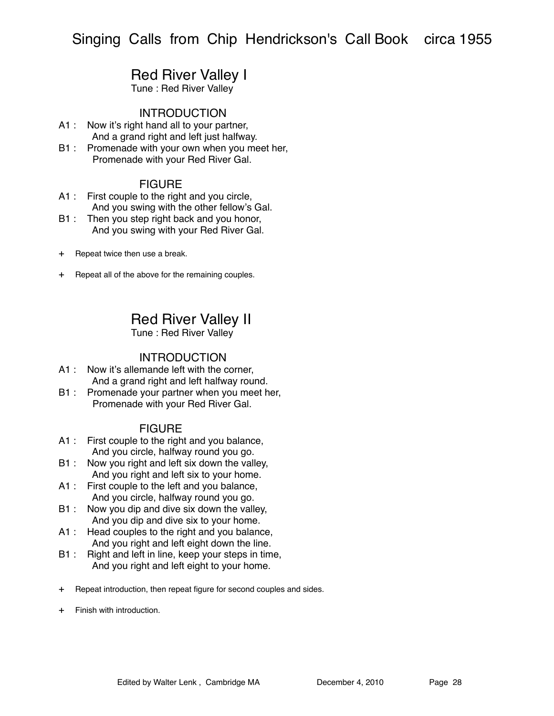## Red River Valley I

Tune : Red River Valley

### INTRODUCTION

- A1 : Now it's right hand all to your partner, And a grand right and left just halfway.
- B1 : Promenade with your own when you meet her, Promenade with your Red River Gal.

### FIGURE

- A1 : First couple to the right and you circle, And you swing with the other fellow's Gal.
- B1 : Then you step right back and you honor, And you swing with your Red River Gal.
- + Repeat twice then use a break.
- + Repeat all of the above for the remaining couples.

Red River Valley II

Tune : Red River Valley

### INTRODUCTION

- A1 : Now it's allemande left with the corner, And a grand right and left halfway round.
- B1 : Promenade your partner when you meet her, Promenade with your Red River Gal.

- A1 : First couple to the right and you balance, And you circle, halfway round you go.
- B1 : Now you right and left six down the valley, And you right and left six to your home.
- A1 : First couple to the left and you balance, And you circle, halfway round you go.
- B1 : Now you dip and dive six down the valley, And you dip and dive six to your home.
- A1 : Head couples to the right and you balance, And you right and left eight down the line.
- B1 : Right and left in line, keep your steps in time, And you right and left eight to your home.
- + Repeat introduction, then repeat figure for second couples and sides.
- + Finish with introduction.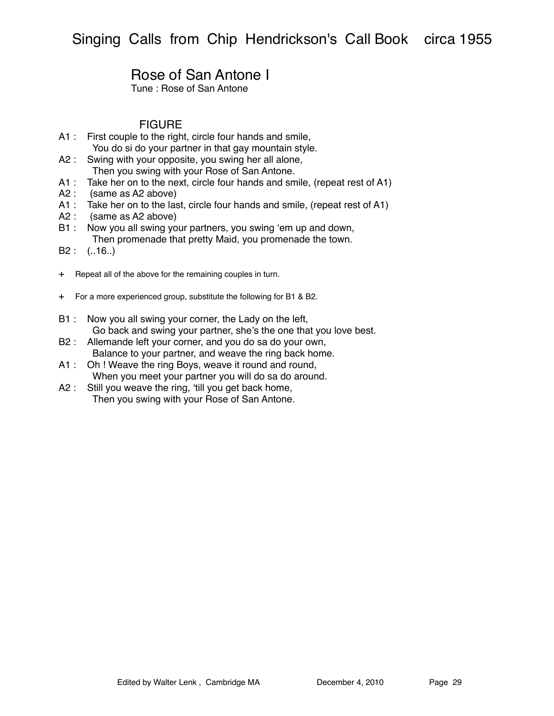# Rose of San Antone I

Tune : Rose of San Antone

- A1 : First couple to the right, circle four hands and smile, You do si do your partner in that gay mountain style.
- A2 : Swing with your opposite, you swing her all alone, Then you swing with your Rose of San Antone.
- A1 : Take her on to the next, circle four hands and smile, (repeat rest of A1)
- A2 : (same as A2 above)
- A1 : Take her on to the last, circle four hands and smile, (repeat rest of A1)
- A2 : (same as A2 above)
- B1 : Now you all swing your partners, you swing 'em up and down, Then promenade that pretty Maid, you promenade the town.
- B2 : (..16..)
- + Repeat all of the above for the remaining couples in turn.
- + For a more experienced group, substitute the following for B1 & B2.
- B1 : Now you all swing your corner, the Lady on the left, Go back and swing your partner, she's the one that you love best.
- B2 : Allemande left your corner, and you do sa do your own, Balance to your partner, and weave the ring back home.
- A1 : Oh ! Weave the ring Boys, weave it round and round, When you meet your partner you will do sa do around.
- A2 : Still you weave the ring, 'till you get back home, Then you swing with your Rose of San Antone.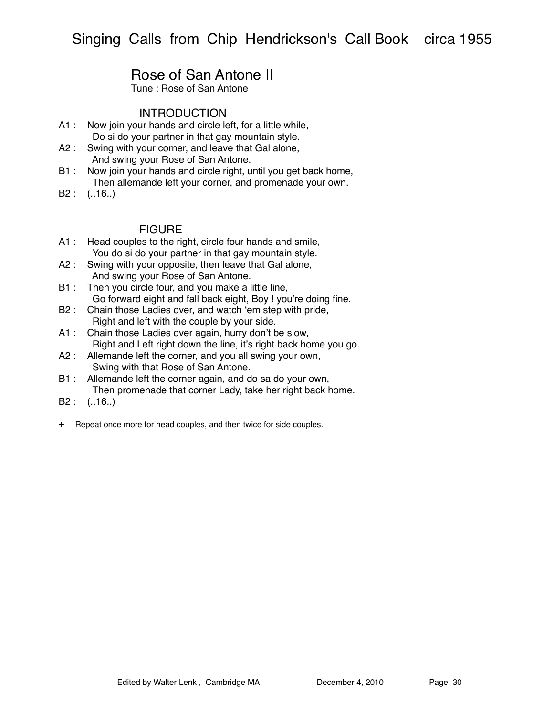# Rose of San Antone II

Tune : Rose of San Antone

### **INTRODUCTION**

- A1 : Now join your hands and circle left, for a little while, Do si do your partner in that gay mountain style.
- A2 : Swing with your corner, and leave that Gal alone,
- And swing your Rose of San Antone. B1 : Now join your hands and circle right, until you get back home,
	- Then allemande left your corner, and promenade your own.
- B2 : (..16..)

- A1 : Head couples to the right, circle four hands and smile, You do si do your partner in that gay mountain style.
- A2 : Swing with your opposite, then leave that Gal alone, And swing your Rose of San Antone.
- B1 : Then you circle four, and you make a little line, Go forward eight and fall back eight, Boy ! you're doing fine.
- B2 : Chain those Ladies over, and watch ʻem step with pride, Right and left with the couple by your side.
- A1 : Chain those Ladies over again, hurry don't be slow, Right and Left right down the line, it's right back home you go.
- A2 : Allemande left the corner, and you all swing your own, Swing with that Rose of San Antone.
- B1 : Allemande left the corner again, and do sa do your own, Then promenade that corner Lady, take her right back home.
- B2 : (..16..)
- + Repeat once more for head couples, and then twice for side couples.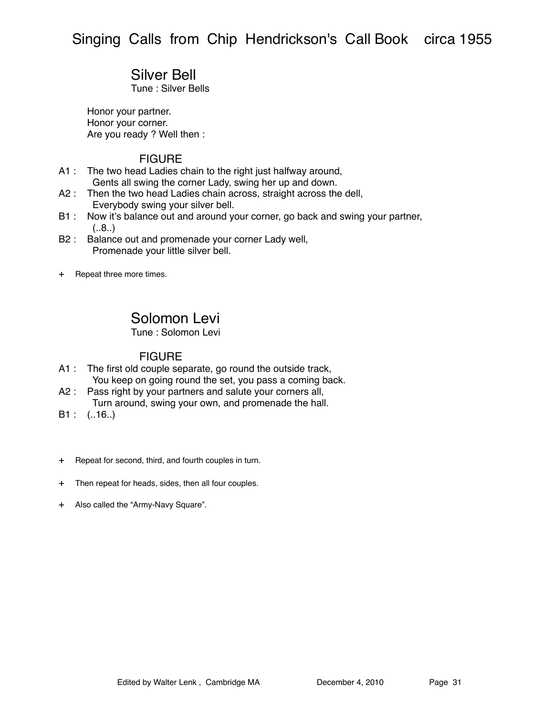## Silver Bell

Tune : Silver Bells

Honor your partner. Honor your corner. Are you ready ? Well then :

#### FIGURE

- A1 : The two head Ladies chain to the right just halfway around, Gents all swing the corner Lady, swing her up and down.
- A2 : Then the two head Ladies chain across, straight across the dell, Everybody swing your silver bell.
- B1 : Now it's balance out and around your corner, go back and swing your partner,  $(.8.)$
- B2 : Balance out and promenade your corner Lady well, Promenade your little silver bell.
- + Repeat three more times.

## Solomon Levi

Tune : Solomon Levi

- A1 : The first old couple separate, go round the outside track, You keep on going round the set, you pass a coming back.
- A2 : Pass right by your partners and salute your corners all, Turn around, swing your own, and promenade the hall.
- B1 : (..16..)
- + Repeat for second, third, and fourth couples in turn.
- + Then repeat for heads, sides, then all four couples.
- + Also called the "Army-Navy Square".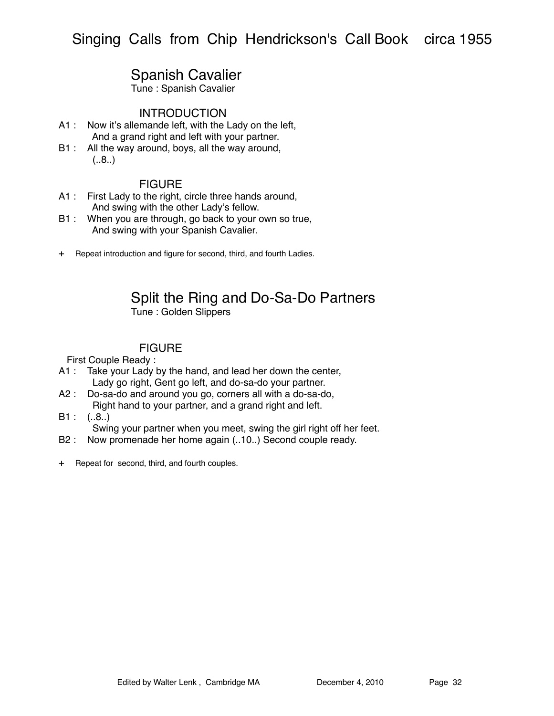# Spanish Cavalier

Tune : Spanish Cavalier

### INTRODUCTION

- A1 : Now it's allemande left, with the Lady on the left, And a grand right and left with your partner.
- B1 : All the way around, boys, all the way around,  $(.8.)$

### FIGURE

- A1 : First Lady to the right, circle three hands around, And swing with the other Lady's fellow.
- B1 : When you are through, go back to your own so true, And swing with your Spanish Cavalier.
- + Repeat introduction and figure for second, third, and fourth Ladies.

# Split the Ring and Do-Sa-Do Partners

Tune : Golden Slippers

## **FIGURE**

First Couple Ready :

- A1 : Take your Lady by the hand, and lead her down the center, Lady go right, Gent go left, and do-sa-do your partner.
- A2 : Do-sa-do and around you go, corners all with a do-sa-do, Right hand to your partner, and a grand right and left.
- $B1: (.8.)$
- Swing your partner when you meet, swing the girl right off her feet.
- B2 : Now promenade her home again (..10.) Second couple ready.
- + Repeat for second, third, and fourth couples.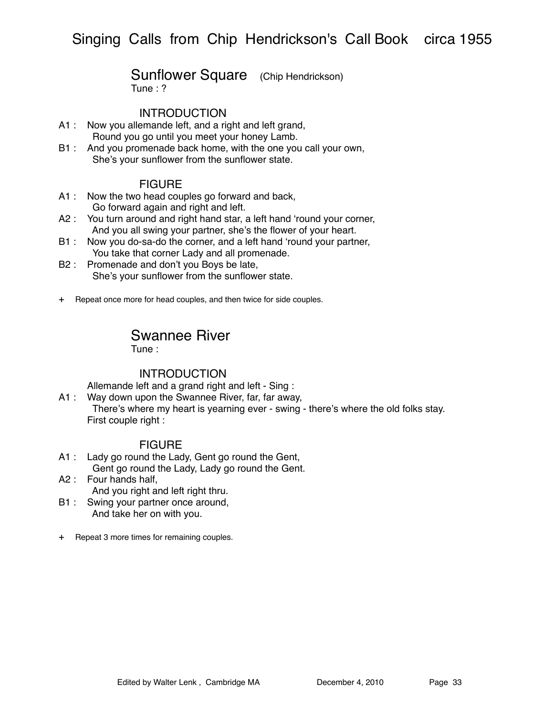# Sunflower Square (Chip Hendrickson)

Tune : ?

### INTRODUCTION

- A1 : Now you allemande left, and a right and left grand, Round you go until you meet your honey Lamb.
- B1 : And you promenade back home, with the one you call your own, She's your sunflower from the sunflower state.

### FIGURE

- A1 : Now the two head couples go forward and back, Go forward again and right and left.
- A2 : You turn around and right hand star, a left hand ʻround your corner, And you all swing your partner, she's the flower of your heart.
- B1 : Now you do-sa-do the corner, and a left hand ʻround your partner, You take that corner Lady and all promenade.
- B2 : Promenade and don't you Boys be late, She's your sunflower from the sunflower state.
- + Repeat once more for head couples, and then twice for side couples.

## Swannee River

Tune :

### INTRODUCTION

Allemande left and a grand right and left - Sing :

A1 : Way down upon the Swannee River, far, far away, There's where my heart is yearning ever - swing - there's where the old folks stay. First couple right :

- A1 : Lady go round the Lady, Gent go round the Gent, Gent go round the Lady, Lady go round the Gent.
- A2 : Four hands half, And you right and left right thru.
- B1 : Swing your partner once around, And take her on with you.
- + Repeat 3 more times for remaining couples.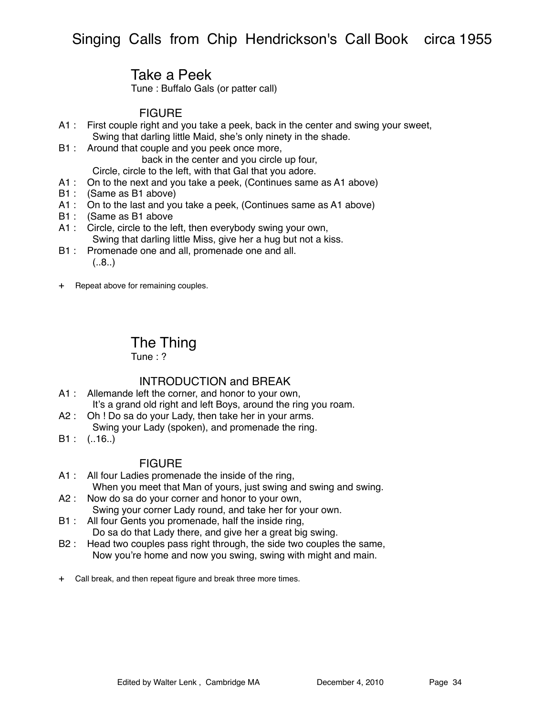# Take a Peek

Tune : Buffalo Gals (or patter call)

## FIGURE

- A1 : First couple right and you take a peek, back in the center and swing your sweet, Swing that darling little Maid, she's only ninety in the shade.
- B1 : Around that couple and you peek once more,

back in the center and you circle up four,

Circle, circle to the left, with that Gal that you adore.

- A1 : On to the next and you take a peek, (Continues same as A1 above)
- B1 : (Same as B1 above)
- A1 : On to the last and you take a peek, (Continues same as A1 above)
- B1 : (Same as B1 above
- A1 : Circle, circle to the left, then everybody swing your own, Swing that darling little Miss, give her a hug but not a kiss.
- B1 : Promenade one and all, promenade one and all.  $(.8.)$
- + Repeat above for remaining couples.

## The Thing

Tune  $\cdot$  ?

### INTRODUCTION and BREAK

- A1 : Allemande left the corner, and honor to your own, It's a grand old right and left Boys, around the ring you roam.
- A2 : Oh ! Do sa do your Lady, then take her in your arms. Swing your Lady (spoken), and promenade the ring.
- $B1: (.16.)$

- A1 : All four Ladies promenade the inside of the ring, When you meet that Man of yours, just swing and swing and swing.
- A2 : Now do sa do your corner and honor to your own, Swing your corner Lady round, and take her for your own.
- B1 : All four Gents you promenade, half the inside ring, Do sa do that Lady there, and give her a great big swing.
- B2 : Head two couples pass right through, the side two couples the same, Now you're home and now you swing, swing with might and main.
- + Call break, and then repeat figure and break three more times.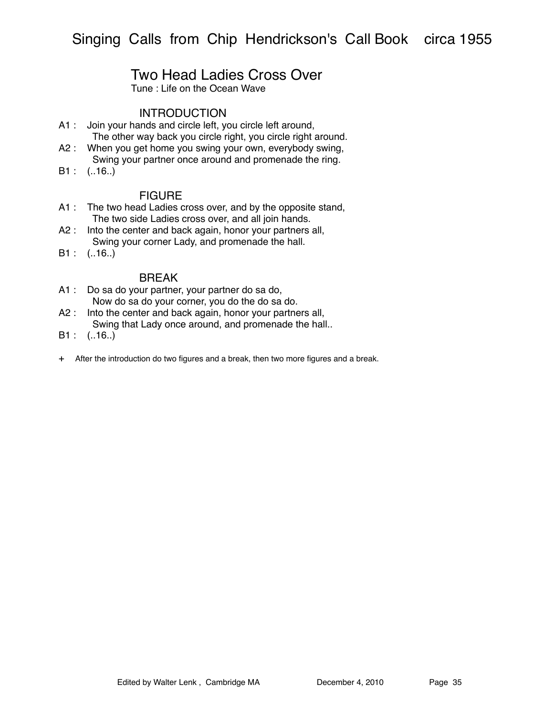## Two Head Ladies Cross Over

Tune : Life on the Ocean Wave

### INTRODUCTION

- A1 : Join your hands and circle left, you circle left around, The other way back you circle right, you circle right around.
- A2 : When you get home you swing your own, everybody swing, Swing your partner once around and promenade the ring.
- B1 : (..16..)

#### **FIGURE**

- A1 : The two head Ladies cross over, and by the opposite stand, The two side Ladies cross over, and all join hands.
- A2 : Into the center and back again, honor your partners all, Swing your corner Lady, and promenade the hall.
- $B1: (.16.)$

#### **BRFAK**

- A1 : Do sa do your partner, your partner do sa do, Now do sa do your corner, you do the do sa do.
- A2 : Into the center and back again, honor your partners all, Swing that Lady once around, and promenade the hall..
- $B1: (.16.)$
- + After the introduction do two figures and a break, then two more figures and a break.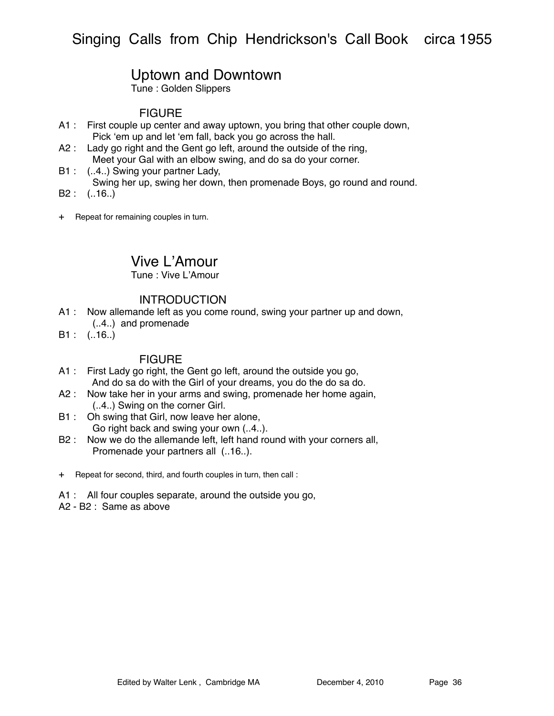## Uptown and Downtown

Tune : Golden Slippers

### **FIGURE**

- A1 : First couple up center and away uptown, you bring that other couple down, Pick ʻem up and let ʻem fall, back you go across the hall.
- A2 : Lady go right and the Gent go left, around the outside of the ring, Meet your Gal with an elbow swing, and do sa do your corner.
- B1 : (..4..) Swing your partner Lady, Swing her up, swing her down, then promenade Boys, go round and round.
- B2 : (..16..)
- + Repeat for remaining couples in turn.

## Vive L'Amour

Tune : Vive L'Amour

### **INTRODUCTION**

- A1 : Now allemande left as you come round, swing your partner up and down,
	- (..4..) and promenade
- B1 : (..16..)

- A1 : First Lady go right, the Gent go left, around the outside you go, And do sa do with the Girl of your dreams, you do the do sa do.
- A2 : Now take her in your arms and swing, promenade her home again, (..4..) Swing on the corner Girl.
- B1 : Oh swing that Girl, now leave her alone, Go right back and swing your own (..4..).
- B2 : Now we do the allemande left, left hand round with your corners all, Promenade your partners all (..16..).
- + Repeat for second, third, and fourth couples in turn, then call :
- A1 : All four couples separate, around the outside you go,
- A2 B2 : Same as above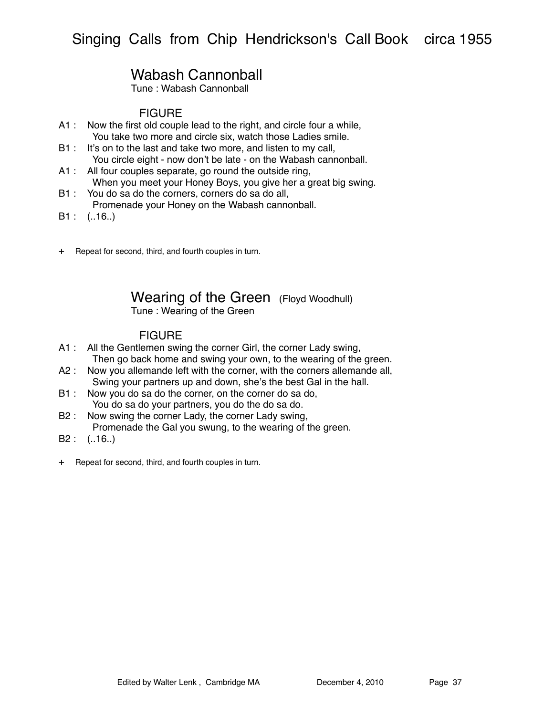# Wabash Cannonball

Tune : Wabash Cannonball

### **FIGURE**

- A1 : Now the first old couple lead to the right, and circle four a while, You take two more and circle six, watch those Ladies smile.
- B1 : It's on to the last and take two more, and listen to my call, You circle eight - now don't be late - on the Wabash cannonball.
- A1 : All four couples separate, go round the outside ring, When you meet your Honey Boys, you give her a great big swing.
- B1 : You do sa do the corners, corners do sa do all, Promenade your Honey on the Wabash cannonball.
- $B1: (.16.)$
- + Repeat for second, third, and fourth couples in turn.

# Wearing of the Green (Floyd Woodhull)

Tune : Wearing of the Green

- A1 : All the Gentlemen swing the corner Girl, the corner Lady swing, Then go back home and swing your own, to the wearing of the green.
- A2 : Now you allemande left with the corner, with the corners allemande all, Swing your partners up and down, she's the best Gal in the hall.
- B1 : Now you do sa do the corner, on the corner do sa do, You do sa do your partners, you do the do sa do.
- B2 : Now swing the corner Lady, the corner Lady swing, Promenade the Gal you swung, to the wearing of the green.
- B2 : (..16..)
- + Repeat for second, third, and fourth couples in turn.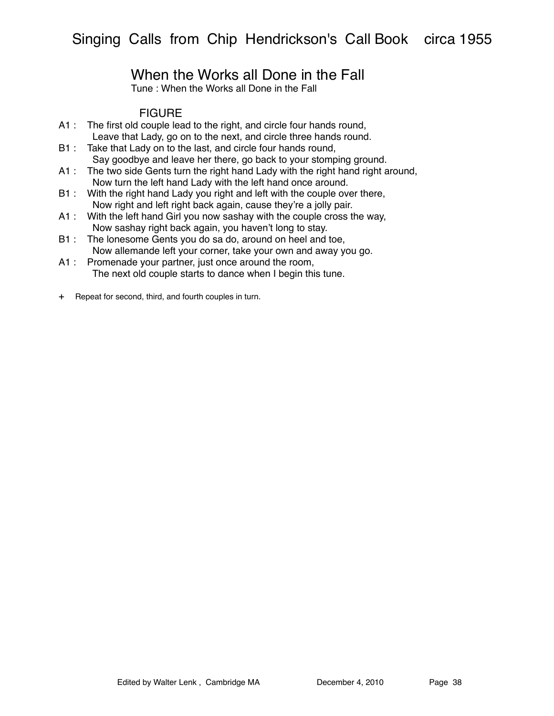# When the Works all Done in the Fall

Tune : When the Works all Done in the Fall

- A1 : The first old couple lead to the right, and circle four hands round, Leave that Lady, go on to the next, and circle three hands round.
- B1 : Take that Lady on to the last, and circle four hands round, Say goodbye and leave her there, go back to your stomping ground.
- A1 : The two side Gents turn the right hand Lady with the right hand right around, Now turn the left hand Lady with the left hand once around.
- B1 : With the right hand Lady you right and left with the couple over there, Now right and left right back again, cause they're a jolly pair.
- A1 : With the left hand Girl you now sashay with the couple cross the way, Now sashay right back again, you haven't long to stay.
- B1 : The lonesome Gents you do sa do, around on heel and toe, Now allemande left your corner, take your own and away you go.
- A1 : Promenade your partner, just once around the room, The next old couple starts to dance when I begin this tune.
- + Repeat for second, third, and fourth couples in turn.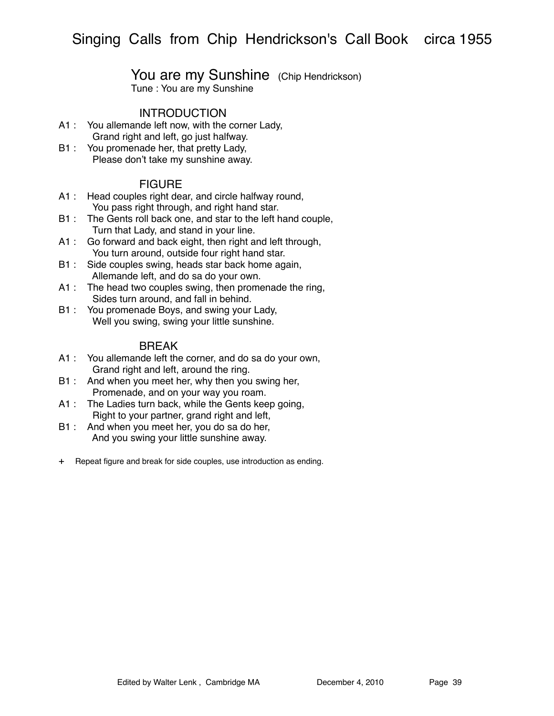## You are my Sunshine (Chip Hendrickson)

Tune : You are my Sunshine

### **INTRODUCTION**

- A1 : You allemande left now, with the corner Lady, Grand right and left, go just halfway.
- B1 : You promenade her, that pretty Lady, Please don't take my sunshine away.

### FIGURE

- A1 : Head couples right dear, and circle halfway round, You pass right through, and right hand star.
- B1 : The Gents roll back one, and star to the left hand couple, Turn that Lady, and stand in your line.
- A1 : Go forward and back eight, then right and left through, You turn around, outside four right hand star.
- B1 : Side couples swing, heads star back home again, Allemande left, and do sa do your own.
- A1 : The head two couples swing, then promenade the ring, Sides turn around, and fall in behind.
- B1 : You promenade Boys, and swing your Lady, Well you swing, swing your little sunshine.

### BREAK

- A1 : You allemande left the corner, and do sa do your own, Grand right and left, around the ring.
- B1 : And when you meet her, why then you swing her, Promenade, and on your way you roam.
- A1 : The Ladies turn back, while the Gents keep going, Right to your partner, grand right and left,
- B1 : And when you meet her, you do sa do her, And you swing your little sunshine away.
- + Repeat figure and break for side couples, use introduction as ending.